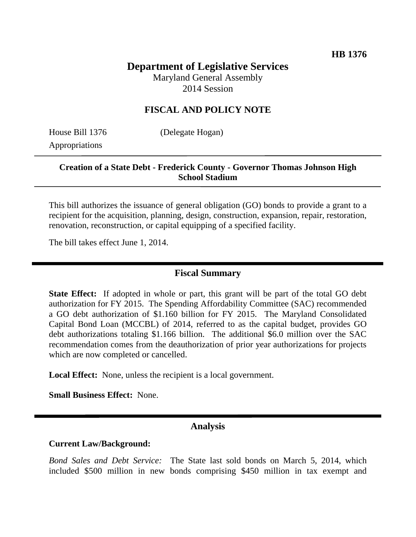# **Department of Legislative Services**

Maryland General Assembly 2014 Session

### **FISCAL AND POLICY NOTE**

Appropriations

House Bill 1376 (Delegate Hogan)

### **Creation of a State Debt - Frederick County - Governor Thomas Johnson High School Stadium**

This bill authorizes the issuance of general obligation (GO) bonds to provide a grant to a recipient for the acquisition, planning, design, construction, expansion, repair, restoration, renovation, reconstruction, or capital equipping of a specified facility.

The bill takes effect June 1, 2014.

### **Fiscal Summary**

**State Effect:** If adopted in whole or part, this grant will be part of the total GO debt authorization for FY 2015. The Spending Affordability Committee (SAC) recommended a GO debt authorization of \$1.160 billion for FY 2015. The Maryland Consolidated Capital Bond Loan (MCCBL) of 2014, referred to as the capital budget, provides GO debt authorizations totaling \$1.166 billion. The additional \$6.0 million over the SAC recommendation comes from the deauthorization of prior year authorizations for projects which are now completed or cancelled.

**Local Effect:** None, unless the recipient is a local government.

**Small Business Effect:** None.

### **Analysis**

#### **Current Law/Background:**

*Bond Sales and Debt Service:* The State last sold bonds on March 5, 2014, which included \$500 million in new bonds comprising \$450 million in tax exempt and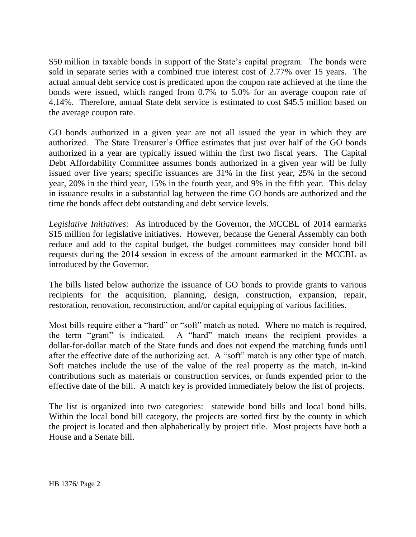\$50 million in taxable bonds in support of the State's capital program. The bonds were sold in separate series with a combined true interest cost of 2.77% over 15 years. The actual annual debt service cost is predicated upon the coupon rate achieved at the time the bonds were issued, which ranged from 0.7% to 5.0% for an average coupon rate of 4.14%. Therefore, annual State debt service is estimated to cost \$45.5 million based on the average coupon rate.

GO bonds authorized in a given year are not all issued the year in which they are authorized. The State Treasurer's Office estimates that just over half of the GO bonds authorized in a year are typically issued within the first two fiscal years. The Capital Debt Affordability Committee assumes bonds authorized in a given year will be fully issued over five years; specific issuances are 31% in the first year, 25% in the second year, 20% in the third year, 15% in the fourth year, and 9% in the fifth year. This delay in issuance results in a substantial lag between the time GO bonds are authorized and the time the bonds affect debt outstanding and debt service levels.

*Legislative Initiatives:* As introduced by the Governor, the MCCBL of 2014 earmarks \$15 million for legislative initiatives. However, because the General Assembly can both reduce and add to the capital budget, the budget committees may consider bond bill requests during the 2014 session in excess of the amount earmarked in the MCCBL as introduced by the Governor.

The bills listed below authorize the issuance of GO bonds to provide grants to various recipients for the acquisition, planning, design, construction, expansion, repair, restoration, renovation, reconstruction, and/or capital equipping of various facilities.

Most bills require either a "hard" or "soft" match as noted. Where no match is required, the term "grant" is indicated. A "hard" match means the recipient provides a dollar-for-dollar match of the State funds and does not expend the matching funds until after the effective date of the authorizing act. A "soft" match is any other type of match. Soft matches include the use of the value of the real property as the match, in-kind contributions such as materials or construction services, or funds expended prior to the effective date of the bill. A match key is provided immediately below the list of projects.

The list is organized into two categories: statewide bond bills and local bond bills. Within the local bond bill category, the projects are sorted first by the county in which the project is located and then alphabetically by project title. Most projects have both a House and a Senate bill.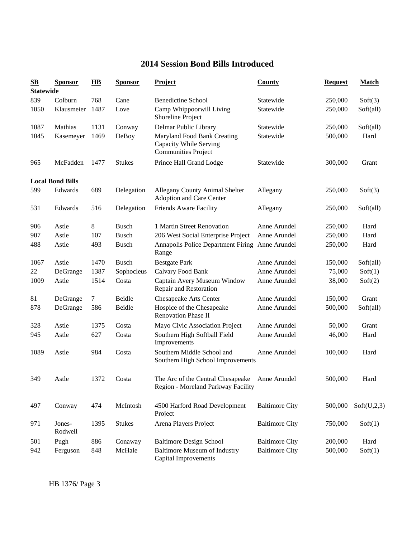## **2014 Session Bond Bills Introduced**

| $\mathbf{S}\mathbf{B}$ | <b>Sponsor</b>          | $\overline{\mathbf{H}}\mathbf{B}$ | <b>Sponsor</b> | <b>Project</b>                                                                      | County                | <b>Request</b> | <b>Match</b> |
|------------------------|-------------------------|-----------------------------------|----------------|-------------------------------------------------------------------------------------|-----------------------|----------------|--------------|
| <b>Statewide</b>       |                         |                                   |                |                                                                                     |                       |                |              |
| 839                    | Colburn                 | 768                               | Cane           | <b>Benedictine School</b>                                                           | Statewide             | 250,000        | Soft(3)      |
| 1050                   | Klausmeier              | 1487                              | Love           | Camp Whippoorwill Living<br>Shoreline Project                                       | Statewide             | 250,000        | Soft(all)    |
| 1087                   | Mathias                 | 1131                              | Conway         | Delmar Public Library                                                               | Statewide             | 250,000        | Soft(all)    |
| 1045                   | Kasemeyer               | 1469                              | DeBoy          | Maryland Food Bank Creating<br>Capacity While Serving<br><b>Communities Project</b> | Statewide             | 500,000        | Hard         |
| 965                    | McFadden                | 1477                              | <b>Stukes</b>  | Prince Hall Grand Lodge                                                             | Statewide             | 300,000        | Grant        |
|                        | <b>Local Bond Bills</b> |                                   |                |                                                                                     |                       |                |              |
| 599                    | Edwards                 | 689                               | Delegation     | Allegany County Animal Shelter<br>Adoption and Care Center                          | Allegany              | 250,000        | Soft(3)      |
| 531                    | Edwards                 | 516                               | Delegation     | Friends Aware Facility                                                              | Allegany              | 250,000        | Soft(all)    |
| 906                    | Astle                   | 8                                 | <b>Busch</b>   | 1 Martin Street Renovation                                                          | Anne Arundel          | 250,000        | Hard         |
| 907                    | Astle                   | 107                               | <b>Busch</b>   | 206 West Social Enterprise Project                                                  | Anne Arundel          | 250,000        | Hard         |
| 488                    | Astle                   | 493                               | <b>Busch</b>   | Annapolis Police Department Firing Anne Arundel<br>Range                            |                       | 250,000        | Hard         |
| 1067                   | Astle                   | 1470                              | <b>Busch</b>   | <b>Bestgate Park</b>                                                                | Anne Arundel          | 150,000        | Soft(all)    |
| 22                     | DeGrange                | 1387                              | Sophocleus     | Calvary Food Bank                                                                   | Anne Arundel          | 75,000         | Soft(1)      |
| 1009                   | Astle                   | 1514                              | Costa          | Captain Avery Museum Window<br>Repair and Restoration                               | Anne Arundel          | 38,000         | Soft(2)      |
| 81                     | DeGrange                | 7                                 | Beidle         | Chesapeake Arts Center                                                              | Anne Arundel          | 150,000        | Grant        |
| 878                    | DeGrange                | 586                               | Beidle         | Hospice of the Chesapeake<br><b>Renovation Phase II</b>                             | Anne Arundel          | 500,000        | Soft(all)    |
| 328                    | Astle                   | 1375                              | Costa          | Mayo Civic Association Project                                                      | Anne Arundel          | 50,000         | Grant        |
| 945                    | Astle                   | 627                               | Costa          | Southern High Softball Field<br>Improvements                                        | Anne Arundel          | 46,000         | Hard         |
| 1089                   | Astle                   | 984                               | Costa          | Southern Middle School and<br>Southern High School Improvements                     | Anne Arundel          | 100,000        | Hard         |
| 349                    | Astle                   | 1372                              | Costa          | The Arc of the Central Chesapeake<br>Region - Moreland Parkway Facility             | Anne Arundel          | 500,000        | Hard         |
| 497                    | Conway                  | 474                               | McIntosh       | 4500 Harford Road Development<br>Project                                            | <b>Baltimore City</b> | 500,000        | Soft(U,2,3)  |
| 971                    | Jones-<br>Rodwell       | 1395                              | <b>Stukes</b>  | Arena Players Project                                                               | <b>Baltimore City</b> | 750,000        | Soft(1)      |
| 501                    | Pugh                    | 886                               | Conaway        | <b>Baltimore Design School</b>                                                      | <b>Baltimore City</b> | 200,000        | Hard         |
| 942                    | Ferguson                | 848                               | McHale         | <b>Baltimore Museum of Industry</b><br><b>Capital Improvements</b>                  | <b>Baltimore City</b> | 500,000        | Soft(1)      |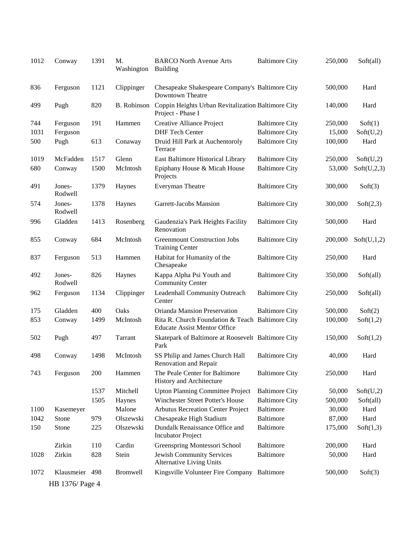| 1012 | Conway            | 1391 | M.<br>Washington   | <b>BARCO North Avenue Arts</b><br><b>Building</b>                                       | <b>Baltimore City</b> | 250,000 | Soft(all)   |
|------|-------------------|------|--------------------|-----------------------------------------------------------------------------------------|-----------------------|---------|-------------|
| 836  | Ferguson          | 1121 | Clippinger         | Chesapeake Shakespeare Company's Baltimore City<br>Downtown Theatre                     |                       | 500,000 | Hard        |
| 499  | Pugh              | 820  | <b>B.</b> Robinson | Coppin Heights Urban Revitalization Baltimore City<br>Project - Phase I                 |                       | 140,000 | Hard        |
| 744  | Ferguson          | 191  | Hammen             | Creative Alliance Project                                                               | <b>Baltimore City</b> | 250,000 | Soft(1)     |
| 1031 | Ferguson          |      |                    | <b>DHF Tech Center</b>                                                                  | <b>Baltimore City</b> | 15,000  | Soft(U,2)   |
| 500  | Pugh              | 613  | Conaway            | Druid Hill Park at Auchentoroly<br>Terrace                                              | <b>Baltimore City</b> | 100,000 | Hard        |
| 1019 | McFadden          | 1517 | Glenn              | East Baltimore Historical Library                                                       | <b>Baltimore City</b> | 250,000 | Soft(U,2)   |
| 680  | Conway            | 1500 | McIntosh           | Epiphany House & Micah House<br>Projects                                                | <b>Baltimore City</b> | 53,000  | Soft(U,2,3) |
| 491  | Jones-<br>Rodwell | 1379 | Haynes             | Everyman Theatre                                                                        | <b>Baltimore City</b> | 300,000 | Soft(3)     |
| 574  | Jones-<br>Rodwell | 1378 | Haynes             | Garrett-Jacobs Mansion                                                                  | <b>Baltimore City</b> | 300,000 | Soft(2,3)   |
| 996  | Gladden           | 1413 | Rosenberg          | Gaudenzia's Park Heights Facility<br>Renovation                                         | <b>Baltimore City</b> | 500,000 | Hard        |
| 855  | Conway            | 684  | McIntosh           | <b>Greenmount Construction Jobs</b><br><b>Training Center</b>                           | <b>Baltimore City</b> | 200,000 | Soft(U,1,2) |
| 837  | Ferguson          | 513  | Hammen             | Habitat for Humanity of the<br>Chesapeake                                               | <b>Baltimore City</b> | 250,000 | Hard        |
| 492  | Jones-<br>Rodwell | 826  | Haynes             | Kappa Alpha Psi Youth and<br><b>Community Center</b>                                    | <b>Baltimore City</b> | 350,000 | Soft(all)   |
| 962  | Ferguson          | 1134 | Clippinger         | Leadenhall Community Outreach<br>Center                                                 | <b>Baltimore City</b> | 250,000 | Soft(all)   |
| 175  | Gladden           | 400  | Oaks               | Orianda Mansion Preservation                                                            | <b>Baltimore City</b> | 500,000 | Soft(2)     |
| 853  | Conway            | 1499 | McIntosh           | Rita R. Church Foundation & Teach Baltimore City<br><b>Educate Assist Mentor Office</b> |                       | 100,000 | Soft(1,2)   |
| 502  | Pugh              | 497  | Tarrant            | Skatepark of Baltimore at Roosevelt Baltimore City<br>Park                              |                       | 150,000 | Soft(1,2)   |
| 498  | Conway            | 1498 | McIntosh           | SS Philip and James Church Hall<br>Renovation and Repair                                | <b>Baltimore City</b> | 40,000  | Hard        |
| 743  | Ferguson          | 200  | Hammen             | The Peale Center for Baltimore<br>History and Architecture                              | <b>Baltimore City</b> | 250,000 | Hard        |
|      |                   | 1537 | Mitchell           | <b>Upton Planning Committee Project</b>                                                 | <b>Baltimore City</b> | 50,000  | Soft(U,2)   |
|      |                   | 1505 | Haynes             | Winchester Street Potter's House                                                        | <b>Baltimore City</b> | 500,000 | Soft(all)   |
| 1100 | Kasemeyer         |      | Malone             | <b>Arbutus Recreation Center Project</b>                                                | Baltimore             | 30,000  | Hard        |
| 1042 | Stone             | 979  | Olszewski          | Chesapeake High Stadium                                                                 | <b>Baltimore</b>      | 87,000  | Hard        |
| 150  | Stone             | 225  | Olszewski          | Dundalk Renaissance Office and<br><b>Incubator Project</b>                              | Baltimore             | 175,000 | Soft(1,3)   |
|      | Zirkin            | 110  | Cardin             | Greenspring Montessori School                                                           | <b>Baltimore</b>      | 200,000 | Hard        |
| 1028 | Zirkin            | 828  | Stein              | Jewish Community Services<br><b>Alternative Living Units</b>                            | Baltimore             | 50,000  | Hard        |
| 1072 | Klausmeier 498    |      | <b>Bromwell</b>    | Kingsville Volunteer Fire Company Baltimore                                             |                       | 500,000 | Soft(3)     |
|      | HB 1376/ Page 4   |      |                    |                                                                                         |                       |         |             |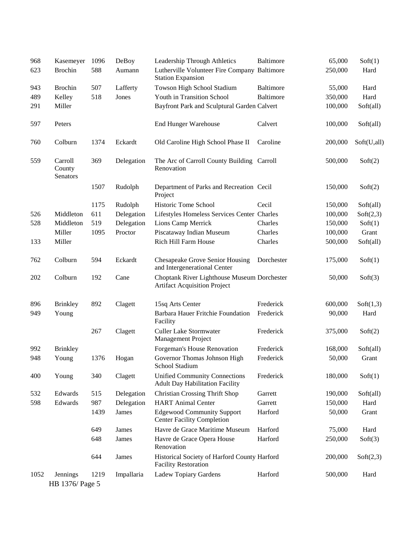| 968  | Kasemeyer                     | 1096 | DeBoy      | Leadership Through Athletics                                                       | Baltimore  | 65,000  | Soft(1)     |
|------|-------------------------------|------|------------|------------------------------------------------------------------------------------|------------|---------|-------------|
| 623  | <b>Brochin</b>                | 588  | Aumann     | Lutherville Volunteer Fire Company Baltimore<br><b>Station Expansion</b>           |            | 250,000 | Hard        |
| 943  | <b>Brochin</b>                | 507  | Lafferty   | Towson High School Stadium                                                         | Baltimore  | 55,000  | Hard        |
| 489  | Kelley                        | 518  | Jones      | Youth in Transition School                                                         | Baltimore  | 350,000 | Hard        |
| 291  | Miller                        |      |            | Bayfront Park and Sculptural Garden Calvert                                        |            | 100,000 | Soft(all)   |
| 597  | Peters                        |      |            | <b>End Hunger Warehouse</b>                                                        | Calvert    | 100,000 | Soft(all)   |
| 760  | Colburn                       | 1374 | Eckardt    | Old Caroline High School Phase II                                                  | Caroline   | 200,000 | Soft(U,all) |
| 559  | Carroll<br>County<br>Senators | 369  | Delegation | The Arc of Carroll County Building Carroll<br>Renovation                           |            | 500,000 | Soft(2)     |
|      |                               | 1507 | Rudolph    | Department of Parks and Recreation Cecil<br>Project                                |            | 150,000 | Soft(2)     |
|      |                               | 1175 | Rudolph    | Historic Tome School                                                               | Cecil      | 150,000 | Soft(all)   |
| 526  | Middleton                     | 611  | Delegation | Lifestyles Homeless Services Center Charles                                        |            | 100,000 | Soft(2,3)   |
| 528  | Middleton                     | 519  | Delegation | Lions Camp Merrick                                                                 | Charles    | 150,000 | Soft(1)     |
|      | Miller                        | 1095 | Proctor    | Piscataway Indian Museum                                                           | Charles    | 100,000 | Grant       |
| 133  | Miller                        |      |            | Rich Hill Farm House                                                               | Charles    | 500,000 | Soft(all)   |
| 762  | Colburn                       | 594  | Eckardt    | Chesapeake Grove Senior Housing<br>and Intergenerational Center                    | Dorchester | 175,000 | Soft(1)     |
| 202  | Colburn                       | 192  | Cane       | Choptank River Lighthouse Museum Dorchester<br><b>Artifact Acquisition Project</b> |            | 50,000  | Soft(3)     |
| 896  | <b>Brinkley</b>               | 892  | Clagett    | 15sq Arts Center                                                                   | Frederick  | 600,000 | Soft(1,3)   |
| 949  | Young                         |      |            | Barbara Hauer Fritchie Foundation<br>Facility                                      | Frederick  | 90,000  | Hard        |
|      |                               | 267  | Clagett    | <b>Culler Lake Stormwater</b><br>Management Project                                | Frederick  | 375,000 | Soft(2)     |
| 992  | <b>Brinkley</b>               |      |            | Forgeman's House Renovation                                                        | Frederick  | 168,000 | Soft(all)   |
| 948  | Young                         | 1376 | Hogan      | Governor Thomas Johnson High<br>School Stadium                                     | Frederick  | 50,000  | Grant       |
| 400  | Young                         | 340  | Clagett    | <b>Unified Community Connections</b><br><b>Adult Day Habilitation Facility</b>     | Frederick  | 180,000 | Soft(1)     |
| 532  | Edwards                       | 515  | Delegation | <b>Christian Crossing Thrift Shop</b>                                              | Garrett    | 190,000 | Soft(all)   |
| 598  | Edwards                       | 987  | Delegation | <b>HART</b> Animal Center                                                          | Garrett    | 150,000 | Hard        |
|      |                               | 1439 | James      | <b>Edgewood Community Support</b><br><b>Center Facility Completion</b>             | Harford    | 50,000  | Grant       |
|      |                               | 649  | James      | Havre de Grace Maritime Museum                                                     | Harford    | 75,000  | Hard        |
|      |                               | 648  | James      | Havre de Grace Opera House<br>Renovation                                           | Harford    | 250,000 | Soft(3)     |
|      |                               | 644  | James      | Historical Society of Harford County Harford<br><b>Facility Restoration</b>        |            | 200,000 | Soft(2,3)   |
| 1052 | Jennings                      | 1219 | Impallaria | Ladew Topiary Gardens                                                              | Harford    | 500,000 | Hard        |
|      | HB 1376/ Page 5               |      |            |                                                                                    |            |         |             |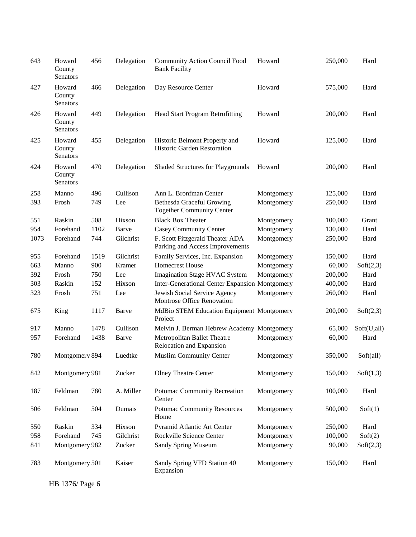| 643  | Howard<br>County<br>Senators | 456  | Delegation | <b>Community Action Council Food</b><br><b>Bank Facility</b>         | Howard     | 250,000 | Hard        |
|------|------------------------------|------|------------|----------------------------------------------------------------------|------------|---------|-------------|
| 427  | Howard<br>County<br>Senators | 466  | Delegation | Day Resource Center                                                  | Howard     | 575,000 | Hard        |
| 426  | Howard<br>County<br>Senators | 449  | Delegation | <b>Head Start Program Retrofitting</b>                               | Howard     | 200,000 | Hard        |
| 425  | Howard<br>County<br>Senators | 455  | Delegation | Historic Belmont Property and<br>Historic Garden Restoration         | Howard     | 125,000 | Hard        |
| 424  | Howard<br>County<br>Senators | 470  | Delegation | <b>Shaded Structures for Playgrounds</b>                             | Howard     | 200,000 | Hard        |
| 258  | Manno                        | 496  | Cullison   | Ann L. Bronfman Center                                               | Montgomery | 125,000 | Hard        |
| 393  | Frosh                        | 749  | Lee        | <b>Bethesda Graceful Growing</b><br><b>Together Community Center</b> | Montgomery | 250,000 | Hard        |
| 551  | Raskin                       | 508  | Hixson     | <b>Black Box Theater</b>                                             | Montgomery | 100,000 | Grant       |
| 954  | Forehand                     | 1102 | Barve      | <b>Casey Community Center</b>                                        | Montgomery | 130,000 | Hard        |
| 1073 | Forehand                     | 744  | Gilchrist  | F. Scott Fitzgerald Theater ADA<br>Parking and Access Improvements   | Montgomery | 250,000 | Hard        |
| 955  | Forehand                     | 1519 | Gilchrist  | Family Services, Inc. Expansion                                      | Montgomery | 150,000 | Hard        |
| 663  | Manno                        | 900  | Kramer     | <b>Homecrest House</b>                                               | Montgomery | 60,000  | Soft(2,3)   |
| 392  | Frosh                        | 750  | Lee        | <b>Imagination Stage HVAC System</b>                                 | Montgomery | 200,000 | Hard        |
| 303  | Raskin                       | 152  | Hixson     | <b>Inter-Generational Center Expansion Montgomery</b>                |            | 400,000 | Hard        |
| 323  | Frosh                        | 751  | Lee        | Jewish Social Service Agency<br>Montrose Office Renovation           | Montgomery | 260,000 | Hard        |
| 675  | King                         | 1117 | Barve      | MdBio STEM Education Equipment Montgomery<br>Project                 |            | 200,000 | Soft(2,3)   |
| 917  | Manno                        | 1478 | Cullison   | Melvin J. Berman Hebrew Academy Montgomery                           |            | 65,000  | Soft(U,all) |
| 957  | Forehand                     | 1438 | Barve      | Metropolitan Ballet Theatre<br>Relocation and Expansion              | Montgomery | 60,000  | Hard        |
| 780  | Montgomery 894               |      | Luedtke    | <b>Muslim Community Center</b>                                       | Montgomery | 350,000 | Soft(all)   |
| 842  | Montgomery 981               |      | Zucker     | <b>Olney Theatre Center</b>                                          | Montgomery | 150,000 | Soft(1,3)   |
| 187  | Feldman                      | 780  | A. Miller  | Potomac Community Recreation<br>Center                               | Montgomery | 100,000 | Hard        |
| 506  | Feldman                      | 504  | Dumais     | <b>Potomac Community Resources</b><br>Home                           | Montgomery | 500,000 | Soft(1)     |
| 550  | Raskin                       | 334  | Hixson     | Pyramid Atlantic Art Center                                          | Montgomery | 250,000 | Hard        |
| 958  | Forehand                     | 745  | Gilchrist  | Rockville Science Center                                             | Montgomery | 100,000 | Soft(2)     |
| 841  | Montgomery 982               |      | Zucker     | <b>Sandy Spring Museum</b>                                           | Montgomery | 90,000  | Soft(2,3)   |
| 783  | Montgomery 501               |      | Kaiser     | Sandy Spring VFD Station 40<br>Expansion                             | Montgomery | 150,000 | Hard        |

HB 1376/ Page 6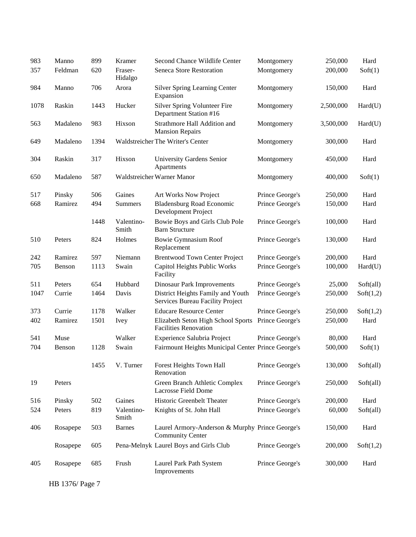| 983  | Manno    | 899  | Kramer              | Second Chance Wildlife Center                                              | Montgomery      | 250,000   | Hard      |
|------|----------|------|---------------------|----------------------------------------------------------------------------|-----------------|-----------|-----------|
| 357  | Feldman  | 620  | Fraser-<br>Hidalgo  | Seneca Store Restoration                                                   | Montgomery      | 200,000   | Soft(1)   |
| 984  | Manno    | 706  | Arora               | <b>Silver Spring Learning Center</b><br>Expansion                          | Montgomery      | 150,000   | Hard      |
| 1078 | Raskin   | 1443 | Hucker              | Silver Spring Volunteer Fire<br>Department Station #16                     | Montgomery      | 2,500,000 | Hard(U)   |
| 563  | Madaleno | 983  | Hixson              | Strathmore Hall Addition and<br><b>Mansion Repairs</b>                     | Montgomery      | 3,500,000 | Hard(U)   |
| 649  | Madaleno | 1394 |                     | Waldstreicher The Writer's Center                                          | Montgomery      | 300,000   | Hard      |
| 304  | Raskin   | 317  | Hixson              | University Gardens Senior<br>Apartments                                    | Montgomery      | 450,000   | Hard      |
| 650  | Madaleno | 587  |                     | Waldstreicher Warner Manor                                                 | Montgomery      | 400,000   | Soft(1)   |
| 517  | Pinsky   | 506  | Gaines              | Art Works Now Project                                                      | Prince George's | 250,000   | Hard      |
| 668  | Ramirez  | 494  | <b>Summers</b>      | <b>Bladensburg Road Economic</b><br>Development Project                    | Prince George's | 150,000   | Hard      |
|      |          | 1448 | Valentino-<br>Smith | Bowie Boys and Girls Club Pole<br><b>Barn Structure</b>                    | Prince George's | 100,000   | Hard      |
| 510  | Peters   | 824  | Holmes              | <b>Bowie Gymnasium Roof</b><br>Replacement                                 | Prince George's | 130,000   | Hard      |
| 242  | Ramirez  | 597  | Niemann             | <b>Brentwood Town Center Project</b>                                       | Prince George's | 200,000   | Hard      |
| 705  | Benson   | 1113 | Swain               | Capitol Heights Public Works<br>Facility                                   | Prince George's | 100,000   | Hard(U)   |
| 511  | Peters   | 654  | Hubbard             | <b>Dinosaur Park Improvements</b>                                          | Prince George's | 25,000    | Soft(all) |
| 1047 | Currie   | 1464 | Davis               | District Heights Family and Youth<br>Services Bureau Facility Project      | Prince George's | 250,000   | Soft(1,2) |
| 373  | Currie   | 1178 | Walker              | <b>Educare Resource Center</b>                                             | Prince George's | 250,000   | Soft(1,2) |
| 402  | Ramirez  | 1501 | <b>Ivey</b>         | Elizabeth Seton High School Sports<br><b>Facilities Renovation</b>         | Prince George's | 250,000   | Hard      |
| 541  | Muse     |      | Walker              | Experience Salubria Project                                                | Prince George's | 80,000    | Hard      |
| 704  | Benson   | 1128 | Swain               | Fairmount Heights Municipal Center Prince George's                         |                 | 500,000   | Soft(1)   |
|      |          | 1455 | V. Turner           | Forest Heights Town Hall<br>Renovation                                     | Prince George's | 130,000   | Soft(all) |
| 19   | Peters   |      |                     | Green Branch Athletic Complex<br>Lacrosse Field Dome                       | Prince George's | 250,000   | Soft(all) |
| 516  | Pinsky   | 502  | Gaines              | Historic Greenbelt Theater                                                 | Prince George's | 200,000   | Hard      |
| 524  | Peters   | 819  | Valentino-<br>Smith | Knights of St. John Hall                                                   | Prince George's | 60,000    | Soft(all) |
| 406  | Rosapepe | 503  | <b>Barnes</b>       | Laurel Armory-Anderson & Murphy Prince George's<br><b>Community Center</b> |                 | 150,000   | Hard      |
|      | Rosapepe | 605  |                     | Pena-Melnyk Laurel Boys and Girls Club                                     | Prince George's | 200,000   | Soft(1,2) |
| 405  | Rosapepe | 685  | Frush               | Laurel Park Path System<br>Improvements                                    | Prince George's | 300,000   | Hard      |

HB 1376/ Page 7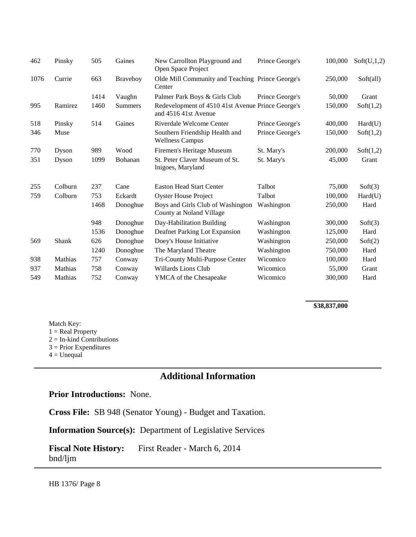| 462  | Pinsky  | 505  | Gaines          | New Carrollton Playground and<br>Open Space Project                       | Prince George's | 100,000 | Soft(U,1,2) |
|------|---------|------|-----------------|---------------------------------------------------------------------------|-----------------|---------|-------------|
| 1076 | Currie  | 663  | <b>Braveboy</b> | Olde Mill Community and Teaching Prince George's<br>Center                |                 | 250,000 | Soft(all)   |
|      |         | 1414 | Vaughn          | Palmer Park Boys & Girls Club                                             | Prince George's | 50,000  | Grant       |
| 995  | Ramirez | 1460 | <b>Summers</b>  | Redevelopment of 4510 41st Avenue Prince George's<br>and 4516 41st Avenue |                 | 150,000 | Soft(1,2)   |
| 518  | Pinsky  | 514  | Gaines          | Riverdale Welcome Center                                                  | Prince George's | 400,000 | Hard(U)     |
| 346  | Muse    |      |                 | Southern Friendship Health and<br><b>Wellness Campus</b>                  | Prince George's | 150,000 | Soft(1,2)   |
| 770  | Dyson   | 989  | Wood            | Firemen's Heritage Museum                                                 | St. Mary's      | 200,000 | Soft(1,2)   |
| 351  | Dyson   | 1099 | Bohanan         | St. Peter Claver Museum of St.<br>Inigoes, Maryland                       | St. Mary's      | 45,000  | Grant       |
| 255  | Colburn | 237  | Cane            | <b>Easton Head Start Center</b>                                           | Talbot          | 75,000  | Soft(3)     |
| 759  | Colburn | 753  | Eckardt         | <b>Oyster House Project</b>                                               | Talbot          | 100,000 | Hard(U)     |
|      |         | 1468 | Donoghue        | Boys and Girls Club of Washington<br>County at Noland Village             | Washington      | 250,000 | Hard        |
|      |         | 948  | Donoghue        | Day-Habilitation Building                                                 | Washington      | 300,000 | Soft(3)     |
|      |         | 1536 | Donoghue        | Deafnet Parking Lot Expansion                                             | Washington      | 125,000 | Hard        |
| 569  | Shank   | 626  | Donoghue        | Doey's House Initiative                                                   | Washington      | 250,000 | Soft(2)     |
|      |         | 1240 | Donoghue        | The Maryland Theatre                                                      | Washington      | 750,000 | Hard        |
| 938  | Mathias | 757  | Conway          | Tri-County Multi-Purpose Center                                           | Wicomico        | 100,000 | Hard        |
| 937  | Mathias | 758  | Conway          | Willards Lions Club                                                       | Wicomico        | 55,000  | Grant       |
| 549  | Mathias | 752  | Conway          | <b>YMCA</b> of the Chesapeake                                             | Wicomico        | 300,000 | Hard        |

#### **\$38,837,000**

Match Key:  $1 = Real Property$  $2 = In$ -kind Contributions  $3$  = Prior Expenditures  $4 =$  Unequal

## **Additional Information**

#### **Prior Introductions:** None.

**Cross File:** SB 948 (Senator Young) - Budget and Taxation.

**Information Source(s):** Department of Legislative Services

**Fiscal Note History:** First Reader - March 6, 2014 bnd/ljm